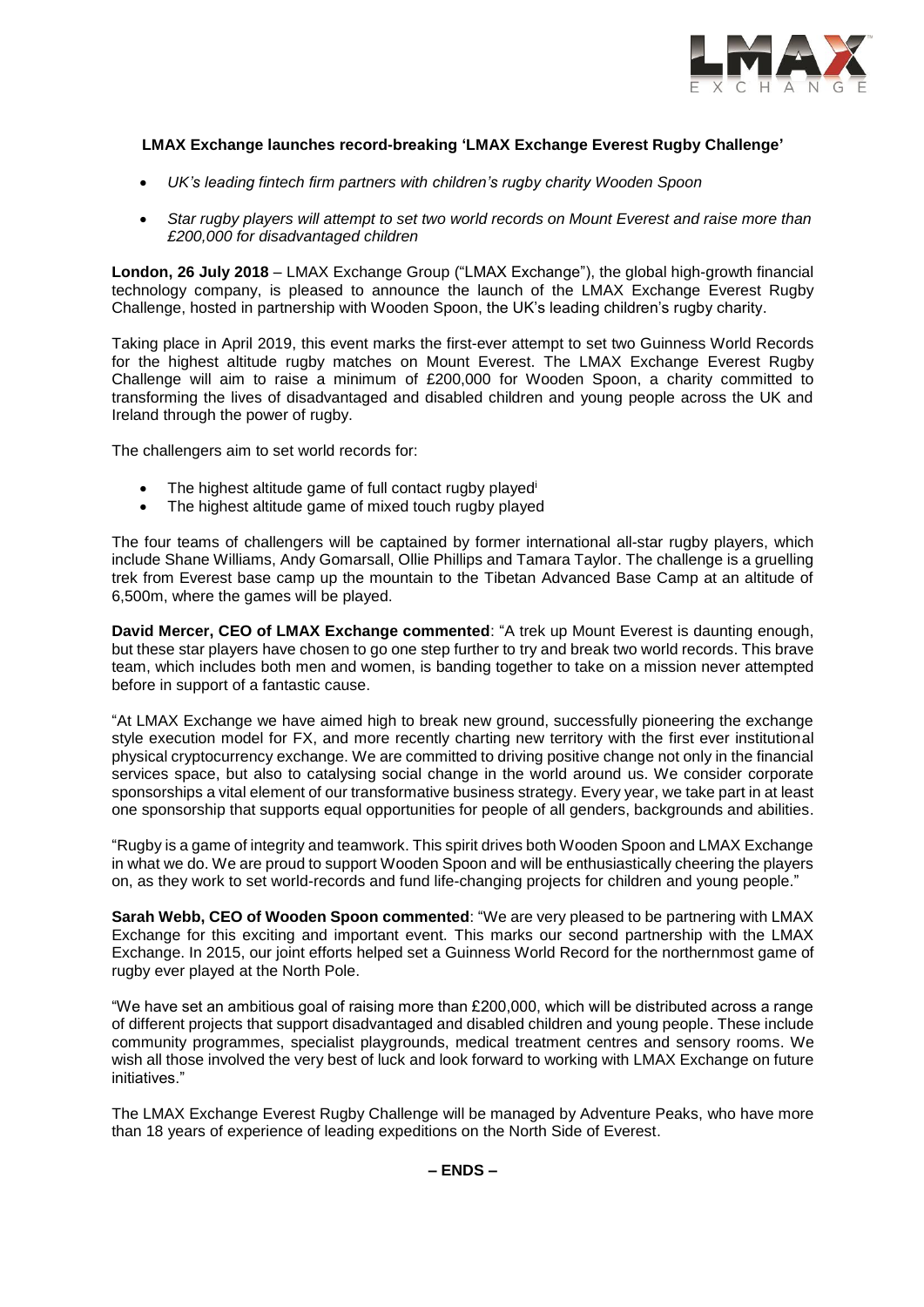

# **LMAX Exchange launches record-breaking 'LMAX Exchange Everest Rugby Challenge'**

- *UK's leading fintech firm partners with children's rugby charity Wooden Spoon*
- *Star rugby players will attempt to set two world records on Mount Everest and raise more than £200,000 for disadvantaged children*

**London, 26 July 2018** – LMAX Exchange Group ("LMAX Exchange"), the global high-growth financial technology company, is pleased to announce the launch of the LMAX Exchange Everest Rugby Challenge, hosted in partnership with Wooden Spoon, the UK's leading children's rugby charity.

Taking place in April 2019, this event marks the first-ever attempt to set two Guinness World Records for the highest altitude rugby matches on Mount Everest. The LMAX Exchange Everest Rugby Challenge will aim to raise a minimum of £200,000 for Wooden Spoon, a charity committed to transforming the lives of disadvantaged and disabled children and young people across the UK and Ireland through the power of rugby.

The challengers aim to set world records for:

- The highest altitude game of full contact rugby played<sup>i</sup>
- The highest altitude game of mixed touch rugby played

The four teams of challengers will be captained by former international all-star rugby players, which include Shane Williams, Andy Gomarsall, Ollie Phillips and Tamara Taylor. The challenge is a gruelling trek from Everest base camp up the mountain to the Tibetan Advanced Base Camp at an altitude of 6,500m, where the games will be played.

**David Mercer, CEO of LMAX Exchange commented**: "A trek up Mount Everest is daunting enough, but these star players have chosen to go one step further to try and break two world records. This brave team, which includes both men and women, is banding together to take on a mission never attempted before in support of a fantastic cause.

"At LMAX Exchange we have aimed high to break new ground, successfully pioneering the exchange style execution model for FX, and more recently charting new territory with the first ever institutional physical cryptocurrency exchange. We are committed to driving positive change not only in the financial services space, but also to catalysing social change in the world around us. We consider corporate sponsorships a vital element of our transformative business strategy. Every year, we take part in at least one sponsorship that supports equal opportunities for people of all genders, backgrounds and abilities.

"Rugby is a game of integrity and teamwork. This spirit drives both Wooden Spoon and LMAX Exchange in what we do. We are proud to support Wooden Spoon and will be enthusiastically cheering the players on, as they work to set world-records and fund life-changing projects for children and young people."

**Sarah Webb, CEO of Wooden Spoon commented**: "We are very pleased to be partnering with LMAX Exchange for this exciting and important event. This marks our second partnership with the LMAX Exchange. In 2015, our joint efforts helped set a Guinness World Record for the northernmost game of rugby ever played at the North Pole.

"We have set an ambitious goal of raising more than £200,000, which will be distributed across a range of different projects that support disadvantaged and disabled children and young people. These include community programmes, specialist playgrounds, medical treatment centres and sensory rooms. We wish all those involved the very best of luck and look forward to working with LMAX Exchange on future initiatives."

The LMAX Exchange Everest Rugby Challenge will be managed by Adventure Peaks, who have more than 18 years of experience of leading expeditions on the North Side of Everest.